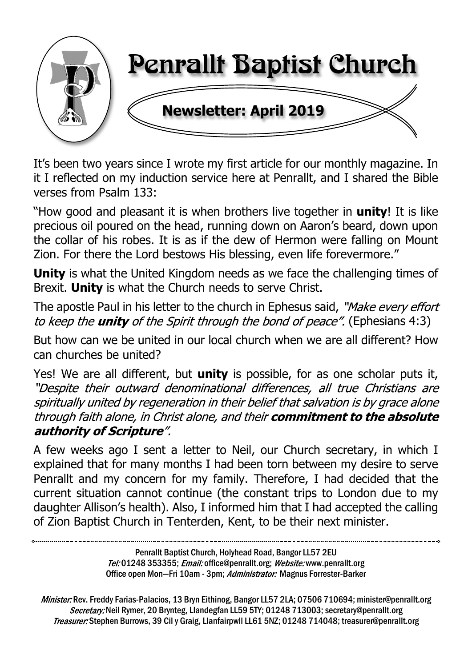

It's been two years since I wrote my first article for our monthly magazine. In it I reflected on my induction service here at Penrallt, and I shared the Bible verses from Psalm 133:

"How good and pleasant it is when brothers live together in **unity**! It is like precious oil poured on the head, running down on Aaron's beard, down upon the collar of his robes. It is as if the dew of Hermon were falling on Mount Zion. For there the Lord bestows His blessing, even life forevermore."

**Unity** is what the United Kingdom needs as we face the challenging times of Brexit. **Unity** is what the Church needs to serve Christ.

The apostle Paul in his letter to the church in Ephesus said, "Make every effort to keep the **unity** of the Spirit through the bond of peace". (Ephesians 4:3)

But how can we be united in our local church when we are all different? How can churches be united?

Yes! We are all different, but **unity** is possible, for as one scholar puts it, "Despite their outward denominational differences, all true Christians are spiritually united by regeneration in their belief that salvation is by grace alone through faith alone, in Christ alone, and their commitment to the absolute authority of Scripture".

A few weeks ago I sent a letter to Neil, our Church secretary, in which I explained that for many months I had been torn between my desire to serve Penrallt and my concern for my family. Therefore, I had decided that the current situation cannot continue (the constant trips to London due to my daughter Allison's health). Also, I informed him that I had accepted the calling of Zion Baptist Church in Tenterden, Kent, to be their next minister.

> Penrallt Baptist Church, Holyhead Road, Bangor LL57 2EU Tel:01248 353355; *Email:* office@penrallt.org; *Website:* www.penrallt.org Office open Mon-Fri 10am - 3pm; Administrator: Magnus Forrester-Barker

Minister: Rev. Freddy Farias-Palacios, 13 Bryn Eithinog, Bangor LL57 2LA; 07506 710694; minister@penrallt.org Secretary: Neil Rymer, 20 Brynteg, Llandegfan LL59 5TY; 01248 713003; secretary@penrallt.org Treasurer: Stephen Burrows, 39 Cil y Graig, Llanfairpwll LL61 5NZ; 01248 714048; treasurer@penrallt.org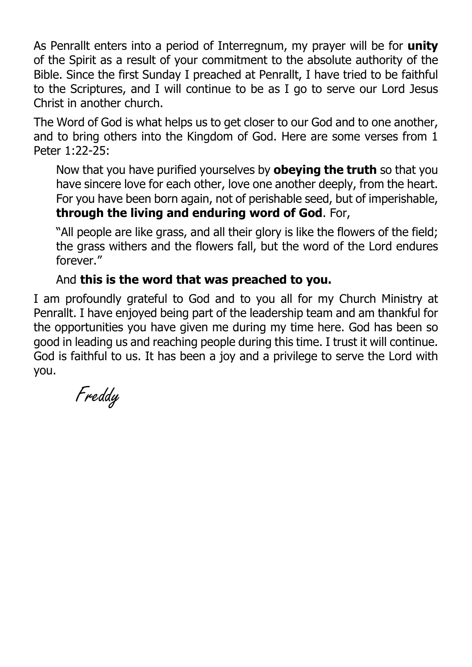As Penrallt enters into a period of Interregnum, my prayer will be for **unity** of the Spirit as a result of your commitment to the absolute authority of the Bible. Since the first Sunday I preached at Penrallt, I have tried to be faithful to the Scriptures, and I will continue to be as I go to serve our Lord Jesus Christ in another church.

The Word of God is what helps us to get closer to our God and to one another, and to bring others into the Kingdom of God. Here are some verses from 1 Peter 1:22-25:

Now that you have purified yourselves by **obeying the truth** so that you have sincere love for each other, love one another deeply, from the heart. For you have been born again, not of perishable seed, but of imperishable, **through the living and enduring word of God**. For,

"All people are like grass, and all their glory is like the flowers of the field; the grass withers and the flowers fall, but the word of the Lord endures forever."

#### And **this is the word that was preached to you.**

I am profoundly grateful to God and to you all for my Church Ministry at Penrallt. I have enjoyed being part of the leadership team and am thankful for the opportunities you have given me during my time here. God has been so good in leading us and reaching people during this time. I trust it will continue. God is faithful to us. It has been a joy and a privilege to serve the Lord with you.

Freddy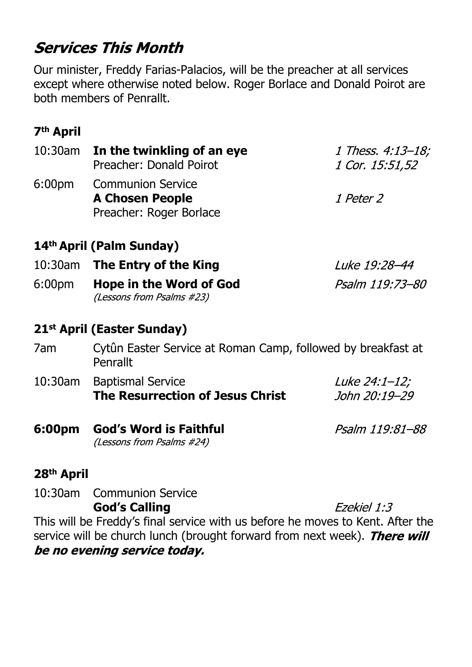# **Services This Month**

Our minister, Freddy Farias-Palacios, will be the preacher at all services except where otherwise noted below. Roger Borlace and Donald Poirot are both members of Penrallt.

# **7th April**

|                    | 10:30am In the twinkling of an eye<br>Preacher: Donald Poirot                 | 1 Thess. 4:13–18;<br>1 Cor. 15:51,52 |
|--------------------|-------------------------------------------------------------------------------|--------------------------------------|
| 6:00 <sub>pm</sub> | <b>Communion Service</b><br><b>A Chosen People</b><br>Preacher: Roger Borlace | <i>1 Peter 2</i>                     |
|                    | 14 <sup>th</sup> April (Palm Sunday)                                          |                                      |
| 10:30am            | The Entry of the King                                                         | Luke 19:28–44                        |
| 6:00 <sub>pm</sub> | <b>Hope in the Word of God</b><br>(Lessons from Psalms #23)                   | Psalm 119:73-80                      |
|                    |                                                                               |                                      |

# **21st April (Easter Sunday)**

- 7am Cytûn Easter Service at Roman Camp, followed by breakfast at Penrallt
- 10:30am Baptismal Service Luke 24:1-12; **The Resurrection of Jesus Christ** John 20:19-29
- **6:00pm God's Word is Faithful** Psalm 119:81-88 (Lessons from Psalms #24)

#### **28th April**

10:30am Communion Service **God's Calling** Ezekiel 1:3 This will be Freddy's final service with us before he moves to Kent. After the service will be church lunch (brought forward from next week). There will be no evening service today.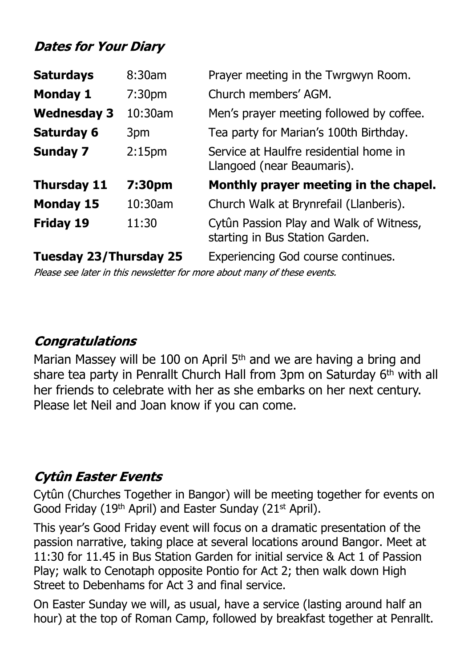# **Dates for Your Diary**

| <b>Saturdays</b>              | 8:30am             | Prayer meeting in the Twrgwyn Room.                                        |
|-------------------------------|--------------------|----------------------------------------------------------------------------|
| <b>Monday 1</b>               | 7:30 <sub>pm</sub> | Church members' AGM.                                                       |
| <b>Wednesday 3</b>            | 10:30am            | Men's prayer meeting followed by coffee.                                   |
| <b>Saturday 6</b>             | 3pm                | Tea party for Marian's 100th Birthday.                                     |
| <b>Sunday 7</b>               | 2:15 <sub>pm</sub> | Service at Haulfre residential home in<br>Llangoed (near Beaumaris).       |
| <b>Thursday 11</b>            | 7:30pm             | Monthly prayer meeting in the chapel.                                      |
| <b>Monday 15</b>              | 10:30am            | Church Walk at Brynrefail (Llanberis).                                     |
| <b>Friday 19</b>              | 11:30              | Cytûn Passion Play and Walk of Witness,<br>starting in Bus Station Garden. |
| <b>Tuesday 23/Thursday 25</b> |                    | <b>Experiencing God course continues.</b>                                  |

Please see later in this newsletter for more about many of these events.

### **Congratulations**

Marian Massey will be 100 on April 5<sup>th</sup> and we are having a bring and share tea party in Penrallt Church Hall from 3pm on Saturday 6<sup>th</sup> with all her friends to celebrate with her as she embarks on her next century. Please let Neil and Joan know if you can come.

# **Cytûn Easter Events**

Cytûn (Churches Together in Bangor) will be meeting together for events on Good Friday (19<sup>th</sup> April) and Easter Sunday (21<sup>st</sup> April).

This year's Good Friday event will focus on a dramatic presentation of the passion narrative, taking place at several locations around Bangor. Meet at 11:30 for 11.45 in Bus Station Garden for initial service & Act 1 of Passion Play; walk to Cenotaph opposite Pontio for Act 2; then walk down High Street to Debenhams for Act 3 and final service.

On Easter Sunday we will, as usual, have a service (lasting around half an hour) at the top of Roman Camp, followed by breakfast together at Penrallt.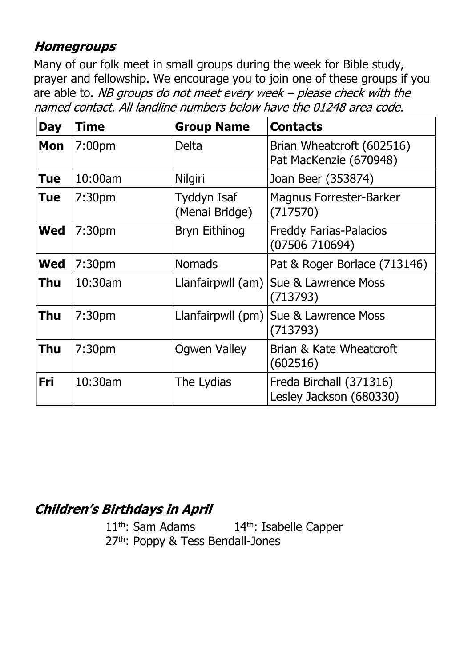#### **Homegroups**

Many of our folk meet in small groups during the week for Bible study, prayer and fellowship. We encourage you to join one of these groups if you are able to. NB groups do not meet every week - please check with the named contact. All landline numbers below have the 01248 area code.

| <b>Day</b> | <b>Time</b>        | <b>Group Name</b>             | <b>Contacts</b>                                     |
|------------|--------------------|-------------------------------|-----------------------------------------------------|
| <b>Mon</b> | 7:00 <sub>pm</sub> | <b>Delta</b>                  | Brian Wheatcroft (602516)<br>Pat MacKenzie (670948) |
| Tue        | 10:00am            | Nilgiri                       | Joan Beer (353874)                                  |
| Tue        | 7:30 <sub>pm</sub> | Tyddyn Isaf<br>(Menai Bridge) | <b>Magnus Forrester-Barker</b><br>(717570)          |
| <b>Wed</b> | 7:30 <sub>pm</sub> | <b>Bryn Eithinog</b>          | <b>Freddy Farias-Palacios</b><br>(07506710694)      |
| <b>Wed</b> | 7:30 <sub>pm</sub> | <b>Nomads</b>                 | Pat & Roger Borlace (713146)                        |
| Thu        | 10:30am            | Llanfairpwll (am)             | Sue & Lawrence Moss<br>(713793)                     |
| Thu        | 7:30 <sub>pm</sub> | Llanfairpwll (pm)             | Sue & Lawrence Moss<br>(713793)                     |
| Thu        | 7:30 <sub>pm</sub> | <b>Ogwen Valley</b>           | Brian & Kate Wheatcroft<br>(602516)                 |
| Fri        | 10:30am            | The Lydias                    | Freda Birchall (371316)<br>Lesley Jackson (680330)  |

# **Children's Birthdays in April**

11<sup>th</sup>: Sam Adams 14<sup>th</sup>: Isabelle Capper 27<sup>th</sup>: Poppy & Tess Bendall-Jones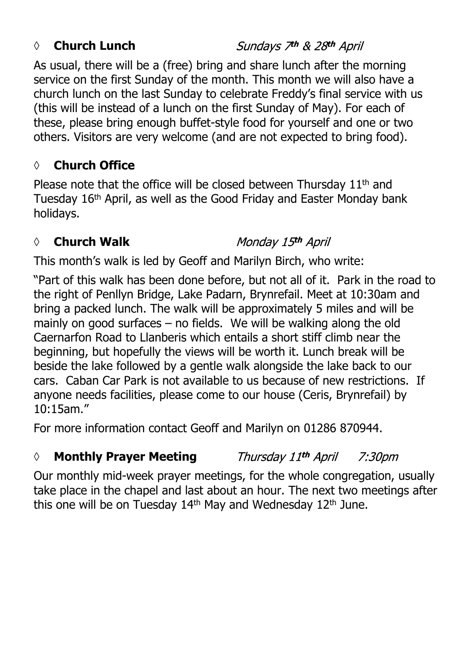#### *◊* **Church Lunch**

Sundays 7th & 28th April

As usual, there will be a (free) bring and share lunch after the morning service on the first Sunday of the month. This month we will also have a church lunch on the last Sunday to celebrate Freddy's final service with us (this will be instead of a lunch on the first Sunday of May). For each of these, please bring enough buffet-style food for yourself and one or two others. Visitors are very welcome (and are not expected to bring food).

#### **◊ Church Office**

Please note that the office will be closed between Thursday 11<sup>th</sup> and Tuesday 16th April, as well as the Good Friday and Easter Monday bank holidays.

#### *◊* **Church Walk**

Monday 15th April

This month's walk is led by Geoff and Marilyn Birch, who write:

"Part of this walk has been done before, but not all of it. Park in the road to the right of Penllyn Bridge, Lake Padarn, Brynrefail. Meet at 10:30am and bring a packed lunch. The walk will be approximately 5 miles and will be mainly on good surfaces – no fields. We will be walking along the old Caernarfon Road to Llanberis which entails a short stiff climb near the beginning, but hopefully the views will be worth it. Lunch break will be beside the lake followed by a gentle walk alongside the lake back to our cars. Caban Car Park is not available to us because of new restrictions. If anyone needs facilities, please come to our house (Ceris, Brynrefail) by 10:15am."

For more information contact Geoff and Marilyn on 01286 870944.

#### *◊* **Monthly Prayer Meeting** Thursday 11th April 7:30pm

Our monthly mid-week prayer meetings, for the whole congregation, usually take place in the chapel and last about an hour. The next two meetings after this one will be on Tuesday 14th May and Wednesday 12th June.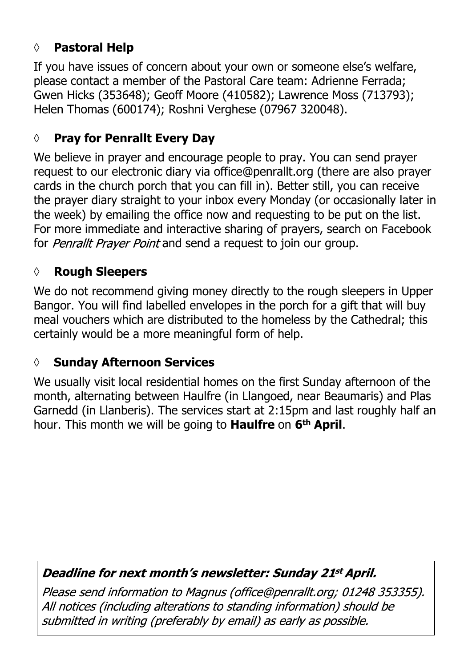# **◊ Pastoral Help**

If you have issues of concern about your own or someone else's welfare, please contact a member of the Pastoral Care team: Adrienne Ferrada; Gwen Hicks (353648); Geoff Moore (410582); Lawrence Moss (713793); Helen Thomas (600174); Roshni Verghese (07967 320048).

#### **◊ Pray for Penrallt Every Day**

We believe in prayer and encourage people to pray. You can send prayer request to our electronic diary via office@penrallt.org (there are also prayer cards in the church porch that you can fill in). Better still, you can receive the prayer diary straight to your inbox every Monday (or occasionally later in the week) by emailing the office now and requesting to be put on the list. For more immediate and interactive sharing of prayers, search on Facebook for *Penrallt Prayer Point* and send a request to join our group.

#### **◊ Rough Sleepers**

We do not recommend giving money directly to the rough sleepers in Upper Bangor. You will find labelled envelopes in the porch for a gift that will buy meal vouchers which are distributed to the homeless by the Cathedral; this certainly would be a more meaningful form of help.

#### **◊ Sunday Afternoon Services**

We usually visit local residential homes on the first Sunday afternoon of the month, alternating between Haulfre (in Llangoed, near Beaumaris) and Plas Garnedd (in Llanberis). The services start at 2:15pm and last roughly half an hour. This month we will be going to **Haulfre** on **6th April**.

#### Deadline for next month's newsletter: Sunday 21st April.

Please send information to Magnus (office@penrallt.org; 01248 353355). All notices (including alterations to standing information) should be submitted in writing (preferably by email) as early as possible.